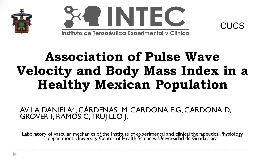



# **Association of Pulse Wave Velocity and Body Mass Index in a Healthy Mexican Population**

CUCS

AVILA DANIELA\*, CÁRDENAS M, CARDONA E.G, CARDONA D, GROVER F, RAMOS C, TRUJILLO J.

Laboratory of vascular mechanics of the Institute of experimental and clinical therapeutics. Physiology department. University Center of Health Sciences. Universidad de Guadalajara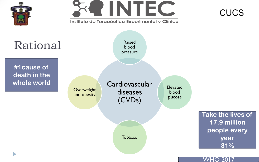

WHO 2017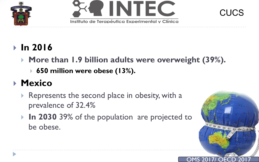





# **In 2016**

- **More than 1.9 billion adults were overweight (39%).** 
	- **650 million were obese (13%).**

# **Mexico**

- Represents the second place in obesity, with a prevalence of 32.4%
- **In 2030 39% of the population are projected to** be obese.

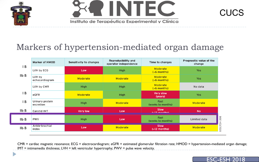





## Markers of hypertension-mediated organ damage

|                             | <b>Marker of HMOD</b>        | <b>Sensitivity to changes</b> | Reproducibility and<br>operator independence | Time to changes                | Prognostic value of the<br>change |          |
|-----------------------------|------------------------------|-------------------------------|----------------------------------------------|--------------------------------|-----------------------------------|----------|
| ' B<br>$I_{\text{I}}$ IIb B | LVH by ECG                   | Low                           | <b>High</b>                                  | Moderate<br>$(56$ months)      | Yes                               |          |
|                             | LVH by<br>echocardiogram     | Moderate                      | Moderate                                     | Moderate<br>$(56$ months)      | Yes                               |          |
|                             | LVH by CMR                   | <b>High</b>                   | <b>High</b>                                  | Moderate<br>$(56$ months)      | No data                           |          |
| B                           | eGFR                         | Moderate                      | <b>High</b>                                  | <b>Very slow</b><br>(years)    | <b>Yes</b>                        |          |
| 'В                          | Urinary protein<br>excretion | <b>High</b>                   | Moderate                                     | Fast<br>(weeks to months)      | Moderate                          |          |
| $I\mathsf{I} b B$           | Carotid IMT                  | <b>Very low</b>               | Low                                          | <b>Slow</b><br>$(-12$ monthel  | <b>No</b>                         |          |
| $I\mathsf{I} b B$           | <b>PWV</b>                   | <b>High</b>                   | Low                                          | Fast<br>(weeks to months)      | Limited data                      | 2018     |
| IIb B                       | Ankle-brachial<br>index      | Low                           | <b>Moderate</b>                              | <b>Slow</b><br>$($ >12 months) | <b>Moderate</b>                   | OESC/ESH |

CMR = cardiac magnetic resonance; ECG = electrocardiogram; eGFR = estimated glomerular filtration rate; HMOD = hypertension-mediated organ damage; IMT = intimamedia thickness; LVH = left ventricular hypertrophy; PWV = pulse wave velocity.

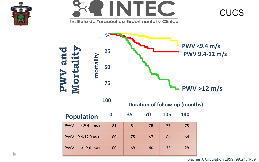

 $\blacktriangleright$ 



Instituto de Terapéutica Experimental y Clínica





Blacher J. Circulation 1999. 99:2434-39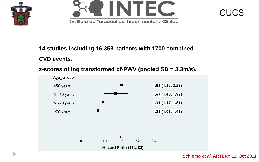

Þ





#### **14 studies including 16,358 patients with 1700 combined**

### **CVD events.**





**Schlomo** *et al.* **ARTERY 11, Oct 2011**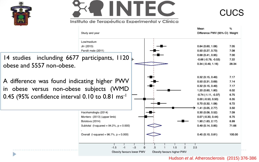



#### Instituto de Terapéutica Experimental y Clínica





#### Hudson *et al.* Atherosclerosis (2015) 376-386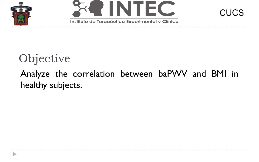





# Objective

## Analyze the correlation between baPWV and BMI in healthy subjects.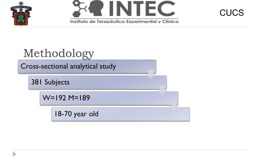





# Methodology

Cross-sectional analytical study

381 Subjects

W=192 M=189

18-70 year old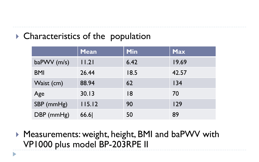### ▶ Characteristics of the population

D

|             | <b>Mean</b> | <b>Min</b> | <b>Max</b> |
|-------------|-------------|------------|------------|
| baPWV (m/s) | 11.21       | 6.42       | 19.69      |
| <b>BMI</b>  | 26.44       | 18.5       | 42.57      |
| Waist (cm)  | 88.94       | 62         | 134        |
| Age         | 30.13       | 18         | 70         |
| SBP (mmHg)  | 115.12      | 90         | 129        |
| DBP (mmHg)  | 66.6        | 50         | 89         |

▶ Measurements: weight, height, BMI and baPWV with VP1000 plus model BP-203RPE II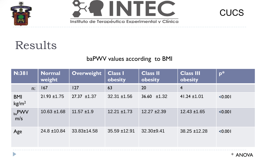

D





# Results

### baPWV values according to BMI

| <b>N:381</b>                    | <b>Normal</b><br>weight | <b>Overweight</b> | <b>Class I</b><br>obesity | <b>Class II</b><br>obesity | <b>Class III</b><br>obesity | $p^*$   |
|---------------------------------|-------------------------|-------------------|---------------------------|----------------------------|-----------------------------|---------|
| n:                              | 167                     | 127               | 63                        | 20                         | $\overline{4}$              |         |
| <b>BMI</b><br>kg/m <sup>2</sup> | $21.93 \pm 1.75$        | $27.37 \pm 1.37$  | $32.31 \pm 1.56$          | $36.60 \pm 1.32$           | $41.24 \pm 1.01$            | < 0.001 |
| $_{ba}$ PWV<br>m/s              | $10.63 \pm 1.68$        | $11.57 \pm 1.9$   | $12.21 \pm 1.73$          | $12.27 \pm 2.39$           | $12.43 \pm 1.65$            | < 0.001 |
| Age                             | $24.8 \pm 10.84$        | 33.83±14.58       | $35.59 \pm 12.91$         | 32.30±9.41                 | 38.25 ±12.28                | < 0.001 |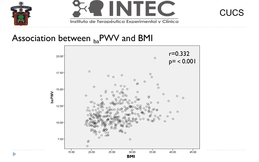





### Association between  $_{ba}$ PWV and BMI

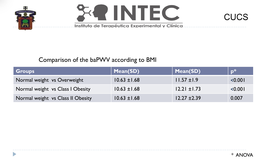

D





### Comparison of the baPWV according to BMI

| <b>Groups</b>                     | Mean(SD)         | Mean(SD)         | $\mathbf{D}^*$ |
|-----------------------------------|------------------|------------------|----------------|
| Normal weight vs Overweight       | $10.63 \pm 1.68$ | $11.57 \pm 1.9$  | < 0.001        |
| Normal weight vs Class I Obesity  | $10.63 \pm 1.68$ | $12.21 \pm 1.73$ | < 0.001        |
| Normal weight vs Class II Obesity | $10.63 \pm 1.68$ | $12.27 \pm 2.39$ | 0.007          |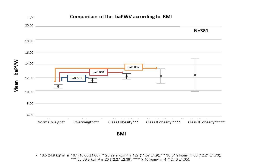

• 18.5-24.9 kg/m<sup>2</sup> n=167 (10.63 ±1.68); \*\* 25-29.9 kg/m<sup>2</sup> n=127 (11.57 ±1.9); \*\*\* 30-34.9 kg/m<sup>2</sup> n=63 (12.21 ±1.73); \*\*\*\* 35-39.9 kg/m<sup>2</sup> n=20 (12.27 ±2.39); \*\*\*\*\* ≥ 40 kg/m<sup>2</sup> n=4 (12.43 ±1.65).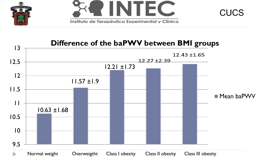



#### **Difference of the baPWV between BMI groups** 13  $12.43 \pm 1.65$  $12.27 \pm 2.39$ 12.5 12.21 ±1.73 12 11.57 ±1.9 11.5 **Mean baPWV** 11  $10.63 \pm 1.68$ 10.5 10 9.5 Normal weight Overweigtht Class I obesity Class II obesity Class III obesity $\blacktriangleright$